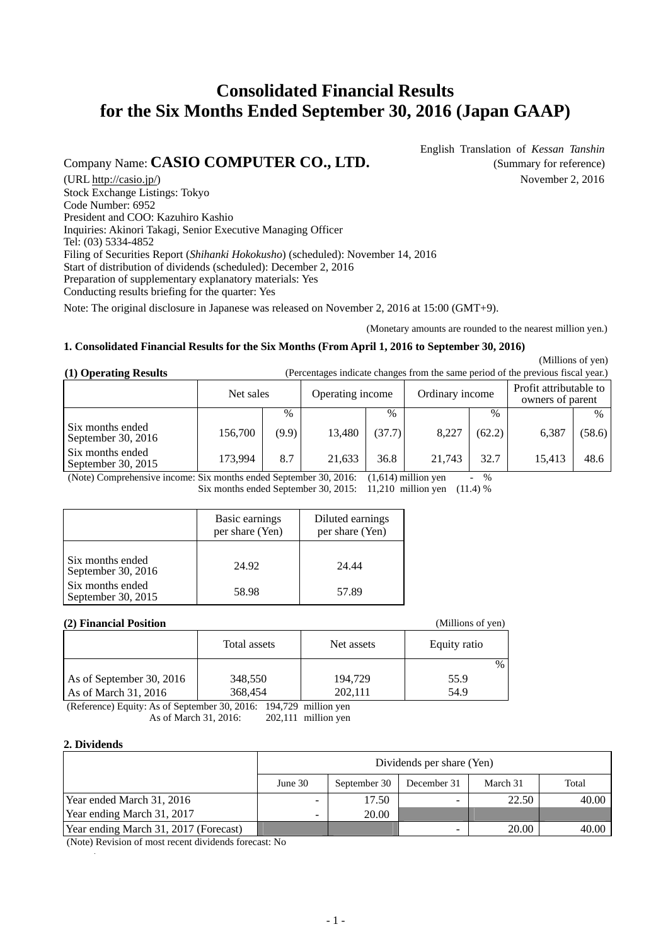# **Consolidated Financial Results for the Six Months Ended September 30, 2016 (Japan GAAP)**

## Company Name: **CASIO COMPUTER CO., LTD.** (Summary for reference)

English Translation of *Kessan Tanshin*

(URL [http://casio.jp/\)](http://casio.jp/) November 2, 2016 Stock Exchange Listings: Tokyo Code Number: 6952 President and COO: Kazuhiro Kashio Inquiries: Akinori Takagi, Senior Executive Managing Officer Tel: (03) 5334-4852 Filing of Securities Report (*Shihanki Hokokusho*) (scheduled): November 14, 2016 Start of distribution of dividends (scheduled): December 2, 2016 Preparation of supplementary explanatory materials: Yes Conducting results briefing for the quarter: Yes

Note: The original disclosure in Japanese was released on November 2, 2016 at 15:00 (GMT+9).

(Monetary amounts are rounded to the nearest million yen.)

### **1. Consolidated Financial Results for the Six Months (From April 1, 2016 to September 30, 2016)**

(Millions of yen)

| (1) Operating Results |           | (Percentages indicate changes from the same period of the previous fiscal year.) |                 |                                            |
|-----------------------|-----------|----------------------------------------------------------------------------------|-----------------|--------------------------------------------|
|                       | Net sales | Operating income                                                                 | Ordinary income | Profit attributable to<br>owners of parent |

|                                        |         |       |        |        |        |        | OWNERS OF DATENT |        |
|----------------------------------------|---------|-------|--------|--------|--------|--------|------------------|--------|
|                                        |         | $\%$  |        | $\%$   |        | $\%$   |                  | $\%$   |
| Six months ended<br>September 30, 2016 | 156.700 | (9.9) | 13.480 | (37.7) | 8,227  | (62.2) | 6,387            | (58.6) |
| Six months ended<br>September 30, 2015 | 173.994 | 8.7   | 21,633 | 36.8   | 21.743 | 32.7   | 15.413           | 48.6   |
|                                        |         |       |        |        |        |        |                  |        |

(Note) Comprehensive income: Six months ended September 30, 2016: (1,614) million yen - % Six months ended September 30, 2015: 11,210 million yen (11.4) %

|                                        | Basic earnings<br>per share (Yen) | Diluted earnings<br>per share (Yen) |
|----------------------------------------|-----------------------------------|-------------------------------------|
| Six months ended<br>September 30, 2016 | 24.92                             | 24.44                               |
| Six months ended<br>September 30, 2015 | 58.98                             | 57.89                               |

#### **(2) Financial Position** (Millions of yen)

| <u>e la mancial i obitivn</u><br>$\cdots$ |              |            |              |  |  |
|-------------------------------------------|--------------|------------|--------------|--|--|
|                                           | Total assets | Net assets | Equity ratio |  |  |
|                                           |              |            | $\%$         |  |  |
| As of September 30, 2016                  | 348,550      | 194,729    | 55.9         |  |  |
| As of March $31, 2016$                    | 368,454      | 202,111    | 54.9         |  |  |

(Reference) Equity: As of September 30, 2016: 194,729 million yen As of March 31, 2016: 202,111 million yen

### **2. Dividends**

|                                       |                          |                                                  | Dividends per share (Yen) |       |       |  |  |  |
|---------------------------------------|--------------------------|--------------------------------------------------|---------------------------|-------|-------|--|--|--|
|                                       | June $30$                | September 30<br>Total<br>March 31<br>December 31 |                           |       |       |  |  |  |
| Year ended March 31, 2016             | -                        | 17.50                                            |                           | 22.50 | 40.00 |  |  |  |
| Year ending March 31, 2017            | $\overline{\phantom{0}}$ | 20.00                                            |                           |       |       |  |  |  |
| Year ending March 31, 2017 (Forecast) |                          |                                                  |                           | 20.00 | 40.00 |  |  |  |

(Note) Revision of most recent dividends forecast: No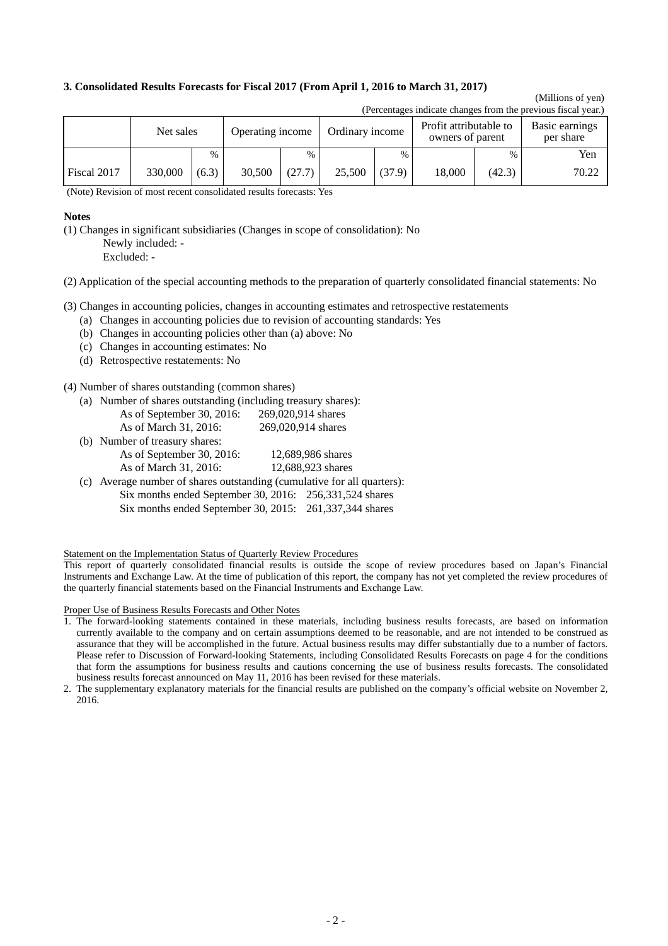#### **3. Consolidated Results Forecasts for Fiscal 2017 (From April 1, 2016 to March 31, 2017)**

#### (Millions of yen) (Percentages indicate changes from the previous fiscal year.)

|             | releases muitate thanges from the previous fistal year. |       |                  |        |        |                                                               |        |        |                             |  |
|-------------|---------------------------------------------------------|-------|------------------|--------|--------|---------------------------------------------------------------|--------|--------|-----------------------------|--|
|             | Net sales                                               |       | Operating income |        |        | Profit attributable to<br>Ordinary income<br>owners of parent |        |        | Basic earnings<br>per share |  |
|             |                                                         | $\%$  |                  | $\%$   |        | $\%$                                                          |        | $\%$   | Yen                         |  |
| Fiscal 2017 | 330,000                                                 | (6.3) | 30.500           | (27.7) | 25,500 | (37.9)                                                        | 18.000 | (42.3) | 70.22                       |  |

(Note) Revision of most recent consolidated results forecasts: Yes

#### **Notes**

(1) Changes in significant subsidiaries (Changes in scope of consolidation): No Newly included: -

Excluded: -

(2) Application of the special accounting methods to the preparation of quarterly consolidated financial statements: No

(3) Changes in accounting policies, changes in accounting estimates and retrospective restatements

- (a) Changes in accounting policies due to revision of accounting standards: Yes
- (b) Changes in accounting policies other than (a) above: No
- (c) Changes in accounting estimates: No
- (d) Retrospective restatements: No

(4) Number of shares outstanding (common shares)

(a) Number of shares outstanding (including treasury shares):

| As of September 30, 2016: | 269,020,914 shares |
|---------------------------|--------------------|
| As of March 31, 2016:     | 269,020,914 shares |

| (b) Number of treasury shares: |                   |
|--------------------------------|-------------------|
| As of September 30, 2016:      | 12,689,986 shares |
| As of March 31, 2016:          | 12,688,923 shares |
|                                |                   |

(c) Average number of shares outstanding (cumulative for all quarters): Six months ended September 30, 2016: 256,331,524 shares Six months ended September 30, 2015: 261,337,344 shares

Statement on the Implementation Status of Quarterly Review Procedures

This report of quarterly consolidated financial results is outside the scope of review procedures based on Japan's Financial Instruments and Exchange Law. At the time of publication of this report, the company has not yet completed the review procedures of the quarterly financial statements based on the Financial Instruments and Exchange Law.

Proper Use of Business Results Forecasts and Other Notes

- 1. The forward-looking statements contained in these materials, including business results forecasts, are based on information currently available to the company and on certain assumptions deemed to be reasonable, and are not intended to be construed as assurance that they will be accomplished in the future. Actual business results may differ substantially due to a number of factors. Please refer to Discussion of Forward-looking Statements, including Consolidated Results Forecasts on page 4 for the conditions that form the assumptions for business results and cautions concerning the use of business results forecasts. The consolidated business results forecast announced on May 11, 2016 has been revised for these materials.
- 2. The supplementary explanatory materials for the financial results are published on the company's official website on November 2, 2016.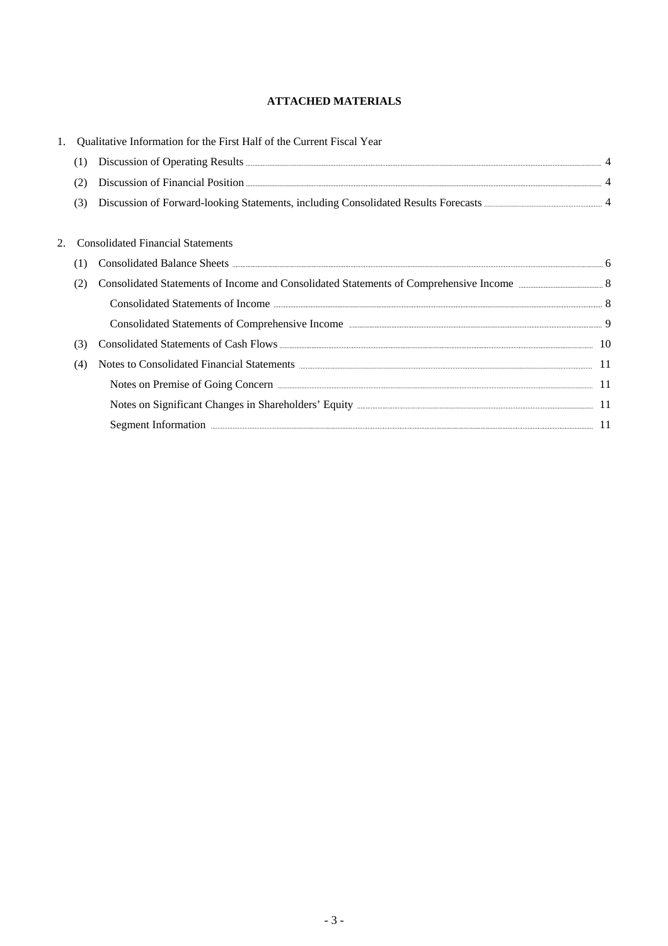## **ATTACHED MATERIALS**

| 1. |     | Qualitative Information for the First Half of the Current Fiscal Year                                                                                                                                                          |  |
|----|-----|--------------------------------------------------------------------------------------------------------------------------------------------------------------------------------------------------------------------------------|--|
|    | (1) |                                                                                                                                                                                                                                |  |
|    | (2) |                                                                                                                                                                                                                                |  |
|    | (3) |                                                                                                                                                                                                                                |  |
|    |     | <b>Consolidated Financial Statements</b>                                                                                                                                                                                       |  |
|    |     |                                                                                                                                                                                                                                |  |
|    | (2) |                                                                                                                                                                                                                                |  |
|    |     |                                                                                                                                                                                                                                |  |
|    |     | Consolidated Statements of Comprehensive Income manufactured and the state of Comprehensive Income manufactured and the state of Osman District of Comprehensive Income manufactured and the state of Osman District of the St |  |
|    | (3) |                                                                                                                                                                                                                                |  |
|    | (4) | Notes to Consolidated Financial Statements <b>Executive Consolidated</b> Financial Statements <b>Executive Consolidated</b>                                                                                                    |  |
|    |     | Notes on Premise of Going Concern <b>Exercise Content and Service Concern</b> 11                                                                                                                                               |  |
|    |     |                                                                                                                                                                                                                                |  |
|    |     | Segment Information <b>Example 2018</b> 11                                                                                                                                                                                     |  |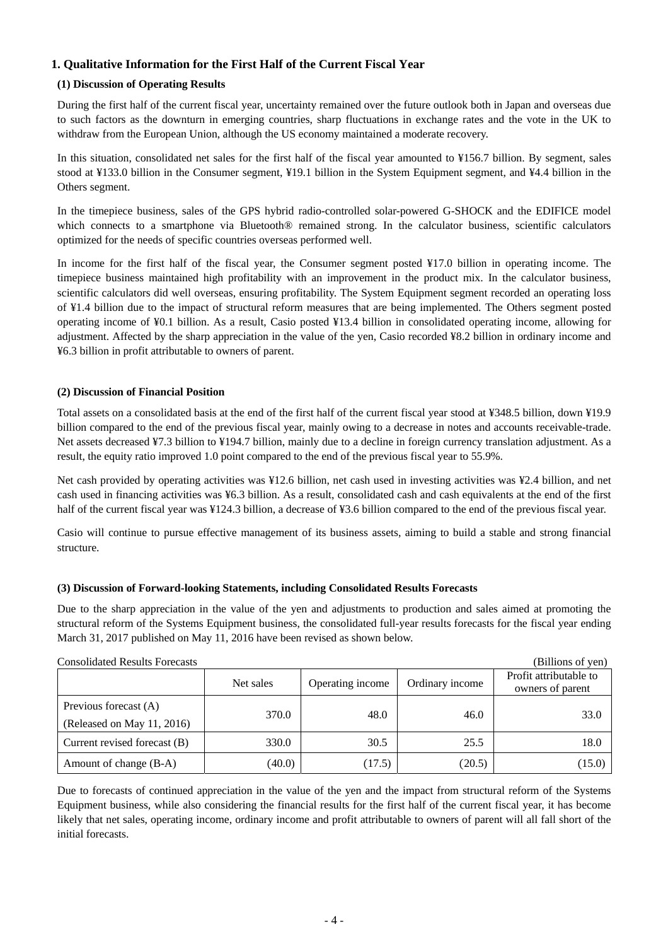## **1. Qualitative Information for the First Half of the Current Fiscal Year**

### **(1) Discussion of Operating Results**

During the first half of the current fiscal year, uncertainty remained over the future outlook both in Japan and overseas due to such factors as the downturn in emerging countries, sharp fluctuations in exchange rates and the vote in the UK to withdraw from the European Union, although the US economy maintained a moderate recovery.

In this situation, consolidated net sales for the first half of the fiscal year amounted to ¥156.7 billion. By segment, sales stood at ¥133.0 billion in the Consumer segment, ¥19.1 billion in the System Equipment segment, and ¥4.4 billion in the Others segment.

In the timepiece business, sales of the GPS hybrid radio-controlled solar-powered G-SHOCK and the EDIFICE model which connects to a smartphone via Bluetooth<sup>®</sup> remained strong. In the calculator business, scientific calculators optimized for the needs of specific countries overseas performed well.

In income for the first half of the fiscal year, the Consumer segment posted ¥17.0 billion in operating income. The timepiece business maintained high profitability with an improvement in the product mix. In the calculator business, scientific calculators did well overseas, ensuring profitability. The System Equipment segment recorded an operating loss of ¥1.4 billion due to the impact of structural reform measures that are being implemented. The Others segment posted operating income of ¥0.1 billion. As a result, Casio posted ¥13.4 billion in consolidated operating income, allowing for adjustment. Affected by the sharp appreciation in the value of the yen, Casio recorded ¥8.2 billion in ordinary income and ¥6.3 billion in profit attributable to owners of parent.

### **(2) Discussion of Financial Position**

Total assets on a consolidated basis at the end of the first half of the current fiscal year stood at ¥348.5 billion, down ¥19.9 billion compared to the end of the previous fiscal year, mainly owing to a decrease in notes and accounts receivable-trade. Net assets decreased ¥7.3 billion to ¥194.7 billion, mainly due to a decline in foreign currency translation adjustment. As a result, the equity ratio improved 1.0 point compared to the end of the previous fiscal year to 55.9%.

Net cash provided by operating activities was ¥12.6 billion, net cash used in investing activities was ¥2.4 billion, and net cash used in financing activities was ¥6.3 billion. As a result, consolidated cash and cash equivalents at the end of the first half of the current fiscal year was ¥124.3 billion, a decrease of ¥3.6 billion compared to the end of the previous fiscal year.

Casio will continue to pursue effective management of its business assets, aiming to build a stable and strong financial structure.

#### **(3) Discussion of Forward-looking Statements, including Consolidated Results Forecasts**

Due to the sharp appreciation in the value of the yen and adjustments to production and sales aimed at promoting the structural reform of the Systems Equipment business, the consolidated full-year results forecasts for the fiscal year ending March 31, 2017 published on May 11, 2016 have been revised as shown below.

| <b>Consolidated Results Forecasts</b>               |           |                  |                 | (Billions of yen)                          |
|-----------------------------------------------------|-----------|------------------|-----------------|--------------------------------------------|
|                                                     | Net sales | Operating income | Ordinary income | Profit attributable to<br>owners of parent |
| Previous forecast (A)<br>(Released on May 11, 2016) | 370.0     | 48.0             | 46.0            | 33.0                                       |
| Current revised forecast (B)                        | 330.0     | 30.5             | 25.5            | 18.0                                       |
| Amount of change (B-A)                              | (40.0)    | (17.5)           | (20.5)          | (15.0)                                     |

Due to forecasts of continued appreciation in the value of the yen and the impact from structural reform of the Systems Equipment business, while also considering the financial results for the first half of the current fiscal year, it has become likely that net sales, operating income, ordinary income and profit attributable to owners of parent will all fall short of the initial forecasts.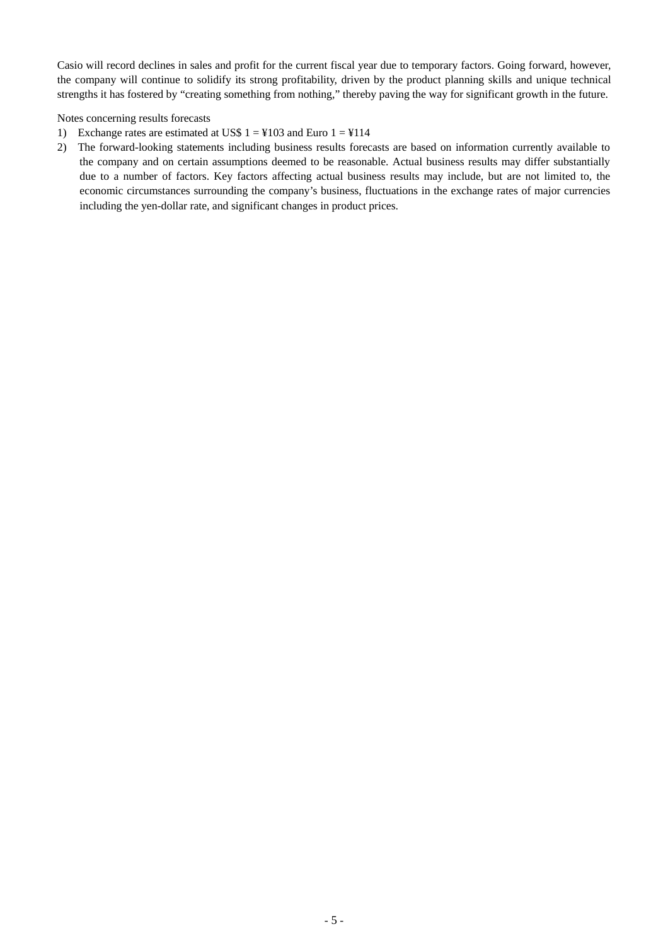Casio will record declines in sales and profit for the current fiscal year due to temporary factors. Going forward, however, the company will continue to solidify its strong profitability, driven by the product planning skills and unique technical strengths it has fostered by "creating something from nothing," thereby paving the way for significant growth in the future.

Notes concerning results forecasts

- 1) Exchange rates are estimated at US\$  $1 = \frac{1}{4}103$  and Euro  $1 = \frac{1}{4}114$
- 2) The forward-looking statements including business results forecasts are based on information currently available to the company and on certain assumptions deemed to be reasonable. Actual business results may differ substantially due to a number of factors. Key factors affecting actual business results may include, but are not limited to, the economic circumstances surrounding the company's business, fluctuations in the exchange rates of major currencies including the yen-dollar rate, and significant changes in product prices.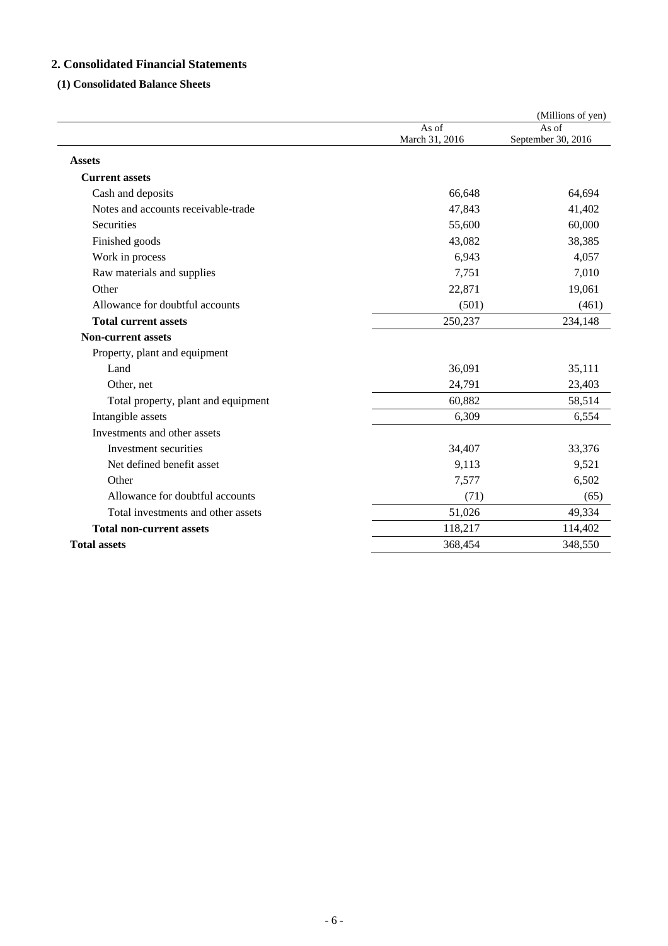## **2. Consolidated Financial Statements**

## **(1) Consolidated Balance Sheets**

|                                     |                         | (Millions of yen)           |
|-------------------------------------|-------------------------|-----------------------------|
|                                     | As of<br>March 31, 2016 | As of<br>September 30, 2016 |
| <b>Assets</b>                       |                         |                             |
| <b>Current assets</b>               |                         |                             |
| Cash and deposits                   | 66,648                  | 64,694                      |
| Notes and accounts receivable-trade | 47,843                  | 41,402                      |
| Securities                          | 55,600                  | 60,000                      |
| Finished goods                      | 43,082                  | 38,385                      |
| Work in process                     | 6,943                   | 4,057                       |
| Raw materials and supplies          | 7,751                   | 7,010                       |
| Other                               | 22,871                  | 19,061                      |
| Allowance for doubtful accounts     | (501)                   | (461)                       |
| <b>Total current assets</b>         | 250,237                 | 234,148                     |
| <b>Non-current assets</b>           |                         |                             |
| Property, plant and equipment       |                         |                             |
| Land                                | 36,091                  | 35,111                      |
| Other, net                          | 24,791                  | 23,403                      |
| Total property, plant and equipment | 60,882                  | 58,514                      |
| Intangible assets                   | 6,309                   | 6,554                       |
| Investments and other assets        |                         |                             |
| Investment securities               | 34,407                  | 33,376                      |
| Net defined benefit asset           | 9,113                   | 9,521                       |
| Other                               | 7,577                   | 6,502                       |
| Allowance for doubtful accounts     | (71)                    | (65)                        |
| Total investments and other assets  | 51,026                  | 49,334                      |
| <b>Total non-current assets</b>     | 118,217                 | 114,402                     |
| <b>Total assets</b>                 | 368,454                 | 348,550                     |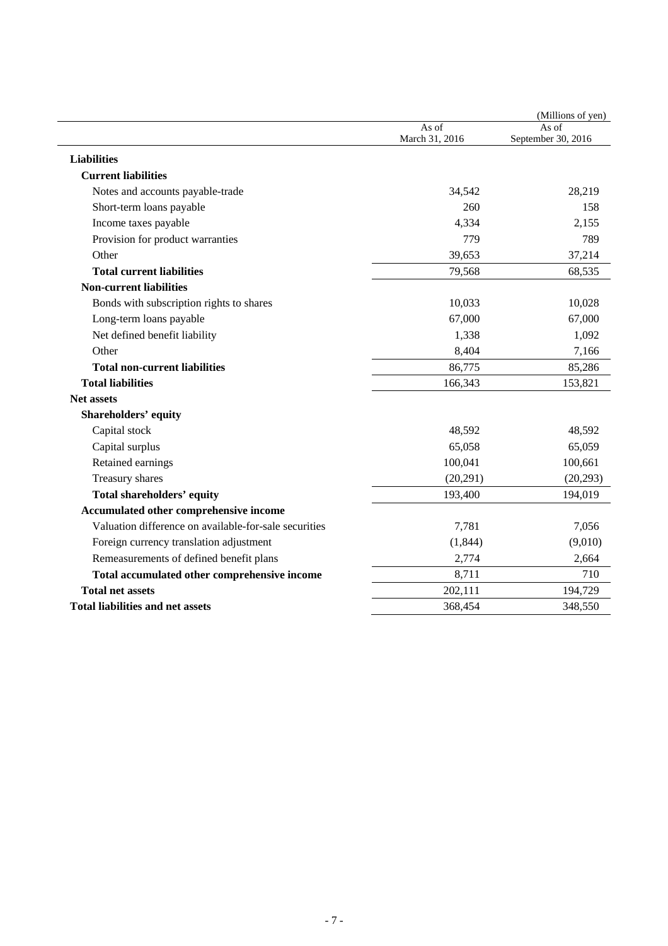|                                                       |                         | (Millions of yen)           |
|-------------------------------------------------------|-------------------------|-----------------------------|
|                                                       | As of<br>March 31, 2016 | As of<br>September 30, 2016 |
| <b>Liabilities</b>                                    |                         |                             |
| <b>Current liabilities</b>                            |                         |                             |
| Notes and accounts payable-trade                      | 34,542                  | 28,219                      |
| Short-term loans payable                              | 260                     | 158                         |
| Income taxes payable                                  | 4,334                   | 2,155                       |
| Provision for product warranties                      | 779                     | 789                         |
| Other                                                 | 39,653                  | 37,214                      |
| <b>Total current liabilities</b>                      | 79,568                  | 68,535                      |
| <b>Non-current liabilities</b>                        |                         |                             |
| Bonds with subscription rights to shares              | 10,033                  | 10,028                      |
| Long-term loans payable                               | 67,000                  | 67,000                      |
| Net defined benefit liability                         | 1,338                   | 1,092                       |
| Other                                                 | 8,404                   | 7,166                       |
| <b>Total non-current liabilities</b>                  | 86,775                  | 85,286                      |
| <b>Total liabilities</b>                              | 166,343                 | 153,821                     |
| <b>Net assets</b>                                     |                         |                             |
| Shareholders' equity                                  |                         |                             |
| Capital stock                                         | 48,592                  | 48,592                      |
| Capital surplus                                       | 65,058                  | 65,059                      |
| Retained earnings                                     | 100,041                 | 100,661                     |
| Treasury shares                                       | (20, 291)               | (20, 293)                   |
| <b>Total shareholders' equity</b>                     | 193,400                 | 194,019                     |
| Accumulated other comprehensive income                |                         |                             |
| Valuation difference on available-for-sale securities | 7,781                   | 7,056                       |
| Foreign currency translation adjustment               | (1, 844)                | (9,010)                     |
| Remeasurements of defined benefit plans               | 2,774                   | 2,664                       |
| Total accumulated other comprehensive income          | 8,711                   | 710                         |
| <b>Total net assets</b>                               | 202,111                 | 194,729                     |
| <b>Total liabilities and net assets</b>               | 368,454                 | 348,550                     |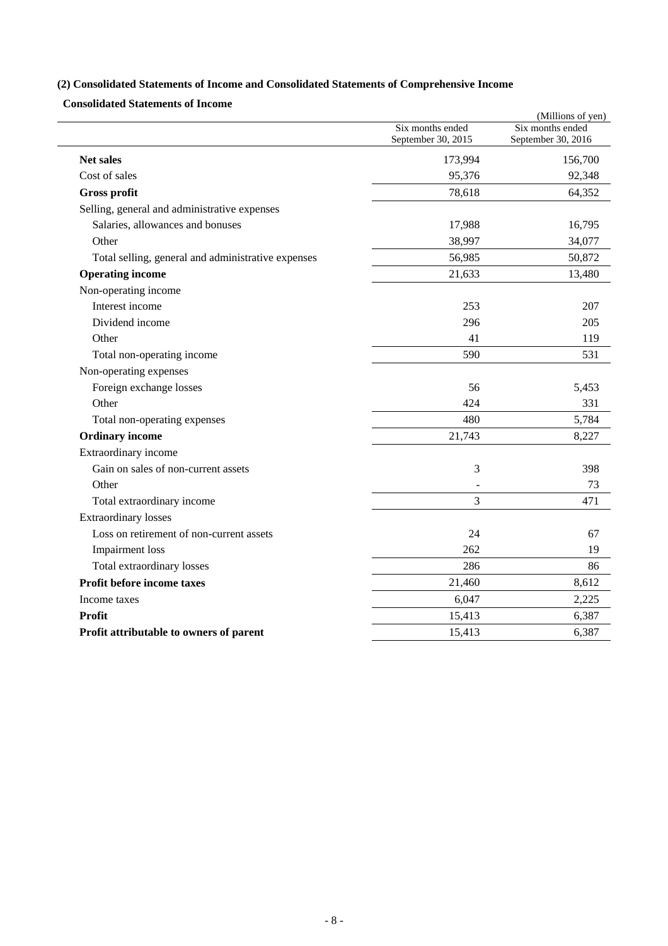## **(2) Consolidated Statements of Income and Consolidated Statements of Comprehensive Income**

**Consolidated Statements of Income** 

|                                                    |                    | (Millions of yen)  |
|----------------------------------------------------|--------------------|--------------------|
|                                                    | Six months ended   | Six months ended   |
|                                                    | September 30, 2015 | September 30, 2016 |
| <b>Net sales</b>                                   | 173,994            | 156,700            |
| Cost of sales                                      | 95,376             | 92,348             |
| <b>Gross profit</b>                                | 78,618             | 64,352             |
| Selling, general and administrative expenses       |                    |                    |
| Salaries, allowances and bonuses                   | 17,988             | 16,795             |
| Other                                              | 38,997             | 34,077             |
| Total selling, general and administrative expenses | 56,985             | 50,872             |
| <b>Operating income</b>                            | 21,633             | 13,480             |
| Non-operating income                               |                    |                    |
| Interest income                                    | 253                | 207                |
| Dividend income                                    | 296                | 205                |
| Other                                              | 41                 | 119                |
| Total non-operating income                         | 590                | 531                |
| Non-operating expenses                             |                    |                    |
| Foreign exchange losses                            | 56                 | 5,453              |
| Other                                              | 424                | 331                |
| Total non-operating expenses                       | 480                | 5,784              |
| <b>Ordinary income</b>                             | 21,743             | 8,227              |
| Extraordinary income                               |                    |                    |
| Gain on sales of non-current assets                | 3                  | 398                |
| Other                                              |                    | 73                 |
| Total extraordinary income                         | $\overline{3}$     | 471                |
| <b>Extraordinary losses</b>                        |                    |                    |
| Loss on retirement of non-current assets           | 24                 | 67                 |
| <b>Impairment</b> loss                             | 262                | 19                 |
| Total extraordinary losses                         | 286                | 86                 |
| Profit before income taxes                         | 21,460             | 8,612              |
| Income taxes                                       | 6,047              | 2,225              |
| Profit                                             | 15,413             | 6,387              |
| Profit attributable to owners of parent            | 15,413             | 6,387              |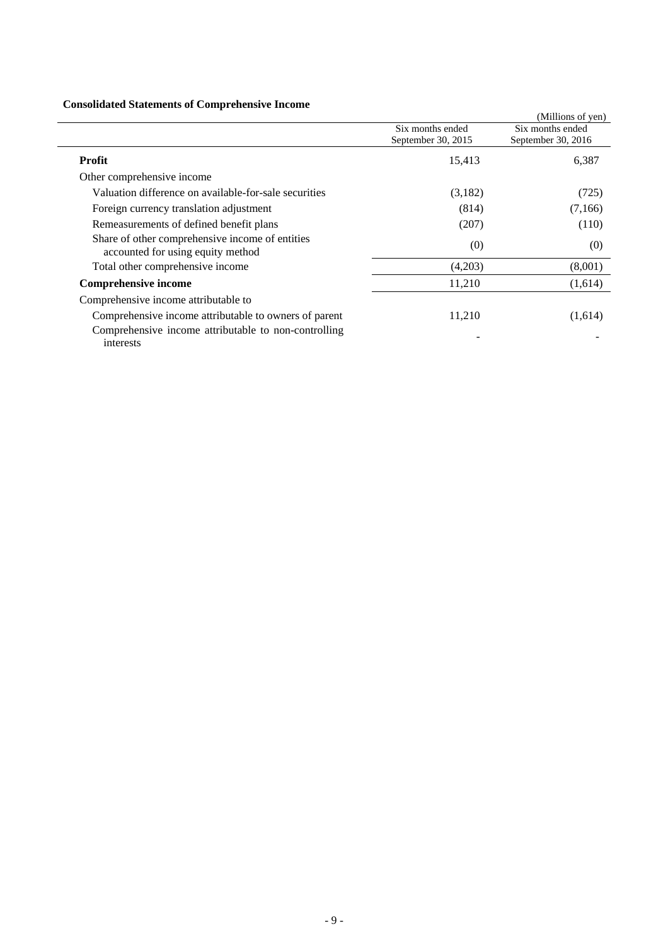## **Consolidated Statements of Comprehensive Income**

| Consolidated Statements of Complements of Income                                     |                    |                    |
|--------------------------------------------------------------------------------------|--------------------|--------------------|
|                                                                                      |                    | (Millions of yen)  |
|                                                                                      | Six months ended   | Six months ended   |
|                                                                                      | September 30, 2015 | September 30, 2016 |
| Profit                                                                               | 15,413             | 6,387              |
| Other comprehensive income                                                           |                    |                    |
| Valuation difference on available-for-sale securities                                | (3,182)            | (725)              |
| Foreign currency translation adjustment                                              | (814)              | (7,166)            |
| Remeasurements of defined benefit plans                                              | (207)              | (110)              |
| Share of other comprehensive income of entities<br>accounted for using equity method | (0)                | (0)                |
| Total other comprehensive income                                                     | (4,203)            | (8,001)            |
| <b>Comprehensive income</b>                                                          | 11,210             | (1,614)            |
| Comprehensive income attributable to                                                 |                    |                    |
| Comprehensive income attributable to owners of parent                                | 11,210             | (1,614)            |
| Comprehensive income attributable to non-controlling<br>interests                    |                    |                    |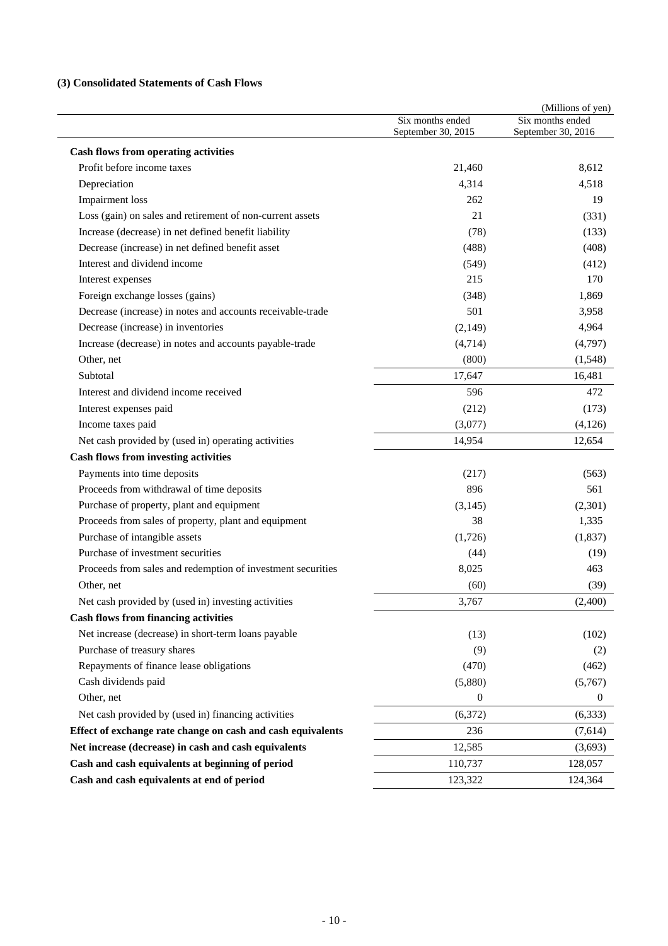## **(3) Consolidated Statements of Cash Flows**

|                                                             | Six months ended<br>September 30, 2015 | (Millions of yen)<br>Six months ended<br>September 30, 2016 |
|-------------------------------------------------------------|----------------------------------------|-------------------------------------------------------------|
| <b>Cash flows from operating activities</b>                 |                                        |                                                             |
| Profit before income taxes                                  | 21,460                                 | 8,612                                                       |
| Depreciation                                                | 4,314                                  | 4,518                                                       |
| <b>Impairment</b> loss                                      | 262                                    | 19                                                          |
| Loss (gain) on sales and retirement of non-current assets   | 21                                     | (331)                                                       |
| Increase (decrease) in net defined benefit liability        | (78)                                   | (133)                                                       |
| Decrease (increase) in net defined benefit asset            | (488)                                  | (408)                                                       |
| Interest and dividend income                                | (549)                                  | (412)                                                       |
| Interest expenses                                           | 215                                    | 170                                                         |
| Foreign exchange losses (gains)                             | (348)                                  | 1,869                                                       |
| Decrease (increase) in notes and accounts receivable-trade  | 501                                    | 3,958                                                       |
| Decrease (increase) in inventories                          | (2,149)                                | 4,964                                                       |
| Increase (decrease) in notes and accounts payable-trade     | (4,714)                                | (4,797)                                                     |
| Other, net                                                  | (800)                                  | (1,548)                                                     |
| Subtotal                                                    | 17,647                                 | 16,481                                                      |
| Interest and dividend income received                       | 596                                    | 472                                                         |
| Interest expenses paid                                      | (212)                                  | (173)                                                       |
| Income taxes paid                                           | (3,077)                                | (4, 126)                                                    |
| Net cash provided by (used in) operating activities         | 14,954                                 | 12,654                                                      |
| <b>Cash flows from investing activities</b>                 |                                        |                                                             |
| Payments into time deposits                                 | (217)                                  | (563)                                                       |
| Proceeds from withdrawal of time deposits                   | 896                                    | 561                                                         |
| Purchase of property, plant and equipment                   | (3, 145)                               | (2,301)                                                     |
| Proceeds from sales of property, plant and equipment        | 38                                     | 1,335                                                       |
| Purchase of intangible assets                               | (1,726)                                | (1,837)                                                     |
| Purchase of investment securities                           | (44)                                   | (19)                                                        |
| Proceeds from sales and redemption of investment securities | 8,025                                  | 463                                                         |
| Other, net                                                  | (60)                                   | (39)                                                        |
| Net cash provided by (used in) investing activities         | 3,767                                  | (2,400)                                                     |
| <b>Cash flows from financing activities</b>                 |                                        |                                                             |
| Net increase (decrease) in short-term loans payable         | (13)                                   | (102)                                                       |
| Purchase of treasury shares                                 | (9)                                    | (2)                                                         |
| Repayments of finance lease obligations                     | (470)                                  | (462)                                                       |
| Cash dividends paid                                         | (5,880)                                | (5,767)                                                     |
| Other, net                                                  | $\boldsymbol{0}$                       | $\theta$                                                    |
| Net cash provided by (used in) financing activities         | (6,372)                                | (6, 333)                                                    |
| Effect of exchange rate change on cash and cash equivalents | 236                                    | (7,614)                                                     |
| Net increase (decrease) in cash and cash equivalents        | 12,585                                 | (3,693)                                                     |
| Cash and cash equivalents at beginning of period            | 110,737                                | 128,057                                                     |
| Cash and cash equivalents at end of period                  | 123,322                                | 124,364                                                     |